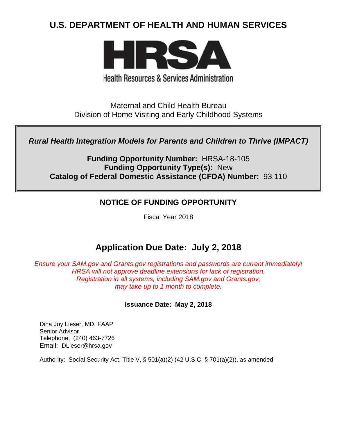# **U.S. DEPARTMENT OF HEALTH AND HUMAN SERVICES**



**Health Resources & Services Administration** 

Maternal and Child Health Bureau Division of Home Visiting and Early Childhood Systems

*Rural Health Integration Models for Parents and Children to Thrive (IMPACT)*

**Funding Opportunity Number:** HRSA-18-105 **Funding Opportunity Type(s):** New **Catalog of Federal Domestic Assistance (CFDA) Number:** 93.110

# **NOTICE OF FUNDING OPPORTUNITY**

Fiscal Year 2018

# **Application Due Date: July 2, 2018**

*Ensure your SAM.gov and Grants.gov registrations and passwords are current immediately! HRSA will not approve deadline extensions for lack of registration. Registration in all systems, including SAM.gov and Grants.gov, may take up to 1 month to complete.*

# **Issuance Date:****May 2, 2018**

Dina Joy Lieser, MD, FAAP Senior Advisor Telephone: (240) 463-7726 Email: [DLieser@hrsa.gov](mailto:DLieser@hrsa.gov)

Authority: Social Security Act, Title V, § 501(a)(2) (42 U.S.C. § 701(a)(2)), as amended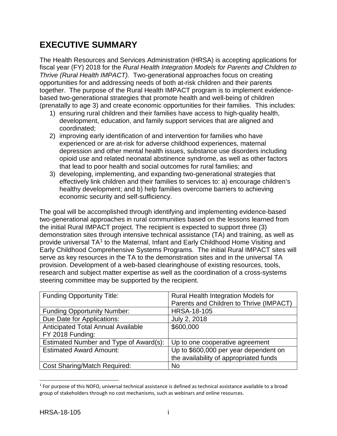# **EXECUTIVE SUMMARY**

The Health Resources and Services Administration (HRSA) is accepting applications for fiscal year (FY) 2018 for the *Rural Health Integration Models for Parents and Children to Thrive (Rural Health IMPACT).* Two-generational approaches focus on creating opportunities for and addressing needs of both at-risk children and their parents together. The purpose of the Rural Health IMPACT program is to implement evidencebased two-generational strategies that promote health and well-being of children (prenatally to age 3) and create economic opportunities for their families. This includes:

- 1) ensuring rural children and their families have access to high-quality health, development, education, and family support services that are aligned and coordinated;
- 2) improving early identification of and intervention for families who have experienced or are at-risk for adverse childhood experiences, maternal depression and other mental health issues, substance use disorders including opioid use and related neonatal abstinence syndrome, as well as other factors that lead to poor health and social outcomes for rural families; and
- 3) developing, implementing, and expanding two-generational strategies that effectively link children and their families to services to: a) encourage children's healthy development; and b) help families overcome barriers to achieving economic security and self-sufficiency.

The goal will be accomplished through identifying and implementing evidence-based two-generational approaches in rural communities based on the lessons learned from the initial Rural IMPACT project. The recipient is expected to support three (3) demonstration sites through intensive technical assistance (TA) and training, as well as provide universal TA<sup>[1](#page-1-0)</sup> to the Maternal, Infant and Early Childhood Home Visiting and Early Childhood Comprehensive Systems Programs. The initial Rural IMPACT sites will serve as key resources in the TA to the demonstration sites and in the universal TA provision. Development of a web-based clearinghouse of existing resources, tools, research and subject matter expertise as well as the coordination of a cross-systems steering committee may be supported by the recipient.

| <b>Funding Opportunity Title:</b>      | <b>Rural Health Integration Models for</b> |
|----------------------------------------|--------------------------------------------|
|                                        | Parents and Children to Thrive (IMPACT)    |
| <b>Funding Opportunity Number:</b>     | <b>HRSA-18-105</b>                         |
| Due Date for Applications:             | July 2, 2018                               |
| Anticipated Total Annual Available     | \$600,000                                  |
| FY 2018 Funding:                       |                                            |
| Estimated Number and Type of Award(s): | Up to one cooperative agreement            |
| <b>Estimated Award Amount:</b>         | Up to \$600,000 per year dependent on      |
|                                        | the availability of appropriated funds     |
| <b>Cost Sharing/Match Required:</b>    | <b>No</b>                                  |

<span id="page-1-0"></span> $1$  For purpose of this NOFO, universal technical assistance is defined as technical assistance available to a broad group of stakeholders through no cost mechanisms, such as webinars and online resources.

 $\overline{a}$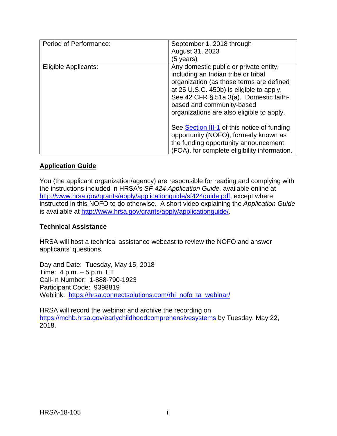| Period of Performance: | September 1, 2018 through<br>August 31, 2023<br>(5 years)                                                                                                                                                                                                                                 |
|------------------------|-------------------------------------------------------------------------------------------------------------------------------------------------------------------------------------------------------------------------------------------------------------------------------------------|
| Eligible Applicants:   | Any domestic public or private entity,<br>including an Indian tribe or tribal<br>organization (as those terms are defined<br>at 25 U.S.C. 450b) is eligible to apply.<br>See 42 CFR § 51a.3(a). Domestic faith-<br>based and community-based<br>organizations are also eligible to apply. |
|                        | See Section III-1 of this notice of funding<br>opportunity (NOFO), formerly known as<br>the funding opportunity announcement<br>(FOA), for complete eligibility information.                                                                                                              |

# **Application Guide**

You (the applicant organization/agency) are responsible for reading and complying with the instructions included in HRSA's *SF-424 Application Guide,* available online at [http://www.hrsa.gov/grants/apply/applicationguide/sf424guide.pdf,](http://www.hrsa.gov/grants/apply/applicationguide/sf424guide.pdf) except where instructed in this NOFO to do otherwise. A short video explaining the *Application Guide* is available at [http://www.hrsa.gov/grants/apply/applicationguide/.](http://www.hrsa.gov/grants/apply/applicationguide/)

# **Technical Assistance**

HRSA will host a technical assistance webcast to review the NOFO and answer applicants' questions.

Day and Date: Tuesday, May 15, 2018 Time: 4 p.m. – 5 p.m. ET Call-In Number: 1-888-790-1923 Participant Code: 9398819 Weblink: [https://hrsa.connectsolutions.com/rhi\\_nofo\\_ta\\_webinar/](https://hrsa.connectsolutions.com/rhi_nofo_ta_webinar/)

HRSA will record the webinar and archive the recording on <https://mchb.hrsa.gov/earlychildhoodcomprehensivesystems> by Tuesday, May 22, 2018.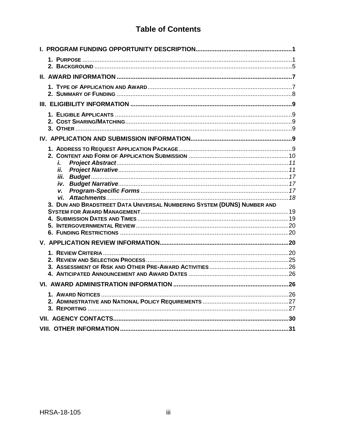# **Table of Contents**

| i.                                                                      |  |
|-------------------------------------------------------------------------|--|
| İİ.<br>iii.                                                             |  |
| iv.                                                                     |  |
| v.                                                                      |  |
| 3. DUN AND BRADSTREET DATA UNIVERSAL NUMBERING SYSTEM (DUNS) NUMBER AND |  |
|                                                                         |  |
|                                                                         |  |
|                                                                         |  |
|                                                                         |  |
|                                                                         |  |
|                                                                         |  |
| 4.                                                                      |  |
|                                                                         |  |
|                                                                         |  |
|                                                                         |  |
|                                                                         |  |
|                                                                         |  |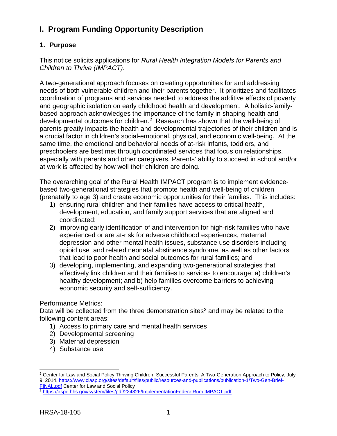# <span id="page-4-0"></span>**I. Program Funding Opportunity Description**

# <span id="page-4-1"></span>**1. Purpose**

This notice solicits applications for *Rural Health Integration Models for Parents and Children to Thrive (IMPACT)*.

A two-generational approach focuses on creating opportunities for and addressing needs of both vulnerable children and their parents together. It prioritizes and facilitates coordination of programs and services needed to address the additive effects of poverty and geographic isolation on early childhood health and development. A holistic-familybased approach acknowledges the importance of the family in shaping health and developmental outcomes for children.[2](#page-4-2) Research has shown that the well-being of parents greatly impacts the health and developmental trajectories of their children and is a crucial factor in children's social-emotional, physical, and economic well-being. At the same time, the emotional and behavioral needs of at-risk infants, toddlers, and preschoolers are best met through coordinated services that focus on relationships, especially with parents and other caregivers. Parents' ability to succeed in school and/or at work is affected by how well their children are doing.

The overarching goal of the Rural Health IMPACT program is to implement evidencebased two-generational strategies that promote health and well-being of children (prenatally to age 3) and create economic opportunities for their families. This includes:

- 1) ensuring rural children and their families have access to critical health, development, education, and family support services that are aligned and coordinated;
- 2) improving early identification of and intervention for high-risk families who have experienced or are at-risk for adverse childhood experiences, maternal depression and other mental health issues, substance use disorders including opioid use and related neonatal abstinence syndrome, as well as other factors that lead to poor health and social outcomes for rural families; and
- 3) developing, implementing, and expanding two-generational strategies that effectively link children and their families to services to encourage: a) children's healthy development; and b) help families overcome barriers to achieving economic security and self-sufficiency.

# Performance Metrics:

Data will be collected from the three demonstration sites<sup>[3](#page-4-3)</sup> and may be related to the following content areas:

- 1) Access to primary care and mental health services
- 2) Developmental screening
- 3) Maternal depression
- 4) Substance use

<span id="page-4-2"></span> $\overline{a}$ <sup>2</sup> Center for Law and Social Policy Thriving Children, Successful Parents: A Two-Generation Approach to Policy, July 9, 2014, [https://www.clasp.org/sites/default/files/public/resources-and-publications/publication-1/Two-Gen-Brief-](https://www.clasp.org/sites/default/files/public/resources-and-publications/publication-1/Two-Gen-Brief-FINAL.pdf)[FINAL.pdf](https://www.clasp.org/sites/default/files/public/resources-and-publications/publication-1/Two-Gen-Brief-FINAL.pdf) Center for Law and Social Policy

<span id="page-4-3"></span><sup>3</sup> <https://aspe.hhs.gov/system/files/pdf/224826/ImplementationFederalRuralIMPACT.pdf>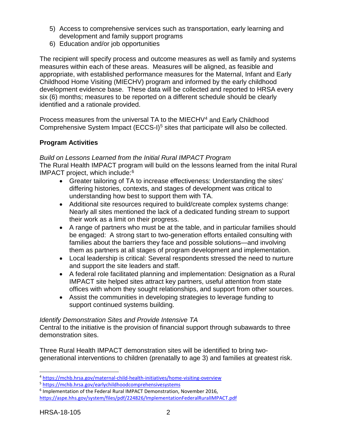- 5) Access to comprehensive services such as transportation, early learning and development and family support programs
- 6) Education and/or job opportunities

The recipient will specify process and outcome measures as well as family and systems measures within each of these areas. Measures will be aligned, as feasible and appropriate, with established performance measures for the Maternal, Infant and Early Childhood Home Visiting (MIECHV) program and informed by the early childhood development evidence base. These data will be collected and reported to HRSA every six (6) months; measures to be reported on a different schedule should be clearly identified and a rationale provided.

Process measures from the universal TA to the MIECHV[4](#page-5-0) and Early Childhood Comprehensive System Impact (ECCS-I)<sup>[5](#page-5-1)</sup> sites that participate will also be collected.

# **Program Activities**

#### *Build on Lessons Learned from the Initial Rural IMPACT Program*

The Rural Health IMPACT program will build on the lessons learned from the inital Rural IMPACT project, which include: [6](#page-5-2)

- Greater tailoring of TA to increase effectiveness: Understanding the sites' differing histories, contexts, and stages of development was critical to understanding how best to support them with TA.
- Additional site resources required to build/create complex systems change: Nearly all sites mentioned the lack of a dedicated funding stream to support their work as a limit on their progress.
- A range of partners who must be at the table, and in particular families should be engaged: A strong start to two-generation efforts entailed consulting with families about the barriers they face and possible solutions—and involving them as partners at all stages of program development and implementation.
- Local leadership is critical: Several respondents stressed the need to nurture and support the site leaders and staff.
- A federal role facilitated planning and implementation: Designation as a Rural IMPACT site helped sites attract key partners, useful attention from state offices with whom they sought relationships, and support from other sources.
- Assist the communities in developing strategies to leverage funding to support continued systems building.

#### *Identify Demonstration Sites and Provide Intensive TA*

Central to the initiative is the provision of financial support through subawards to three demonstration sites.

Three Rural Health IMPACT demonstration sites will be identified to bring twogenerational interventions to children (prenatally to age 3) and families at greatest risk.

<span id="page-5-2"></span><sup>6</sup> Implementation of the Federal Rural IMPACT Demonstration, November 2016, <https://aspe.hhs.gov/system/files/pdf/224826/ImplementationFederalRuralIMPACT.pdf>

 $\overline{a}$ 

<span id="page-5-0"></span><sup>4</sup> <https://mchb.hrsa.gov/maternal-child-health-initiatives/home-visiting-overview>

<span id="page-5-1"></span><sup>5</sup> <https://mchb.hrsa.gov/earlychildhoodcomprehensivesystems>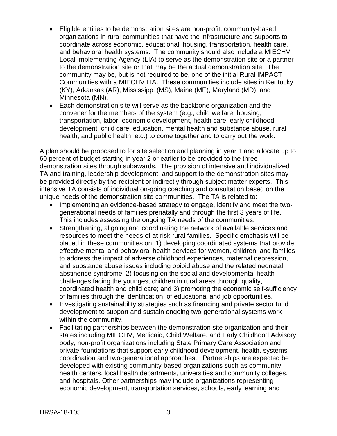- Eligible entities to be demonstration sites are non-profit, community-based organizations in rural communities that have the infrastructure and supports to coordinate across economic, educational, housing, transportation, health care, and behavioral health systems. The community should also include a MIECHV Local Implementing Agency (LIA) to serve as the demonstration site or a partner to the demonstration site or that may be the actual demonstration site. The community may be, but is not required to be, one of the initial Rural IMPACT Communities with a MIECHV LIA. These communities include sites in Kentucky (KY), Arkansas (AR), Mississippi (MS), Maine (ME), Maryland (MD), and Minnesota (MN).
- Each demonstration site will serve as the backbone organization and the convener for the members of the system (e.g., child welfare, housing, transportation, labor, economic development, health care, early childhood development, child care, education, mental health and substance abuse, rural health, and public health, etc.) to come together and to carry out the work.

A plan should be proposed to for site selection and planning in year 1 and allocate up to 60 percent of budget starting in year 2 or earlier to be provided to the three demonstration sites through subawards. The provision of intensive and individualized TA and training, leadership development, and support to the demonstration sites may be provided directly by the recipient or indirectly through subject matter experts. This intensive TA consists of individual on-going coaching and consultation based on the unique needs of the demonstration site communities. The TA is related to:

- Implementing an evidence-based strategy to engage, identify and meet the twogenerational needs of families prenatally and through the first 3 years of life. This includes assessing the ongoing TA needs of the communities.
- Strengthening, aligning and coordinating the network of available services and resources to meet the needs of at-risk rural families. Specific emphasis will be placed in these communities on: 1) developing coordinated systems that provide effective mental and behavioral health services for women, children, and families to address the impact of adverse childhood experiences, maternal depression, and substance abuse issues including opioid abuse and the related neonatal abstinence syndrome; 2) focusing on the social and developmental health challenges facing the youngest children in rural areas through quality, coordinated health and child care; and 3) promoting the economic self-sufficiency of families through the identification of educational and job opportunities.
- Investigating sustainability strategies such as financing and private sector fund development to support and sustain ongoing two-generational systems work within the community.
- Facilitating partnerships between the demonstration site organization and their states including MIECHV, Medicaid, Child Welfare, and Early Childhood Advisory body, non-profit organizations including State Primary Care Association and private foundations that support early childhood development, health, systems coordination and two-generational approaches. Partnerships are expected be developed with existing community-based organizations such as community health centers, local health departments, universities and community colleges, and hospitals. Other partnerships may include organizations representing economic development, transportation services, schools, early learning and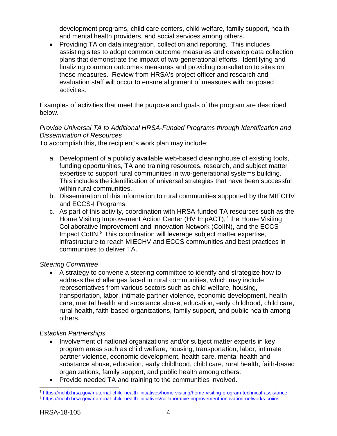development programs, child care centers, child welfare, family support, health and mental health providers, and social services among others.

• Providing TA on data integration, collection and reporting. This includes assisting sites to adopt common outcome measures and develop data collection plans that demonstrate the impact of two-generational efforts. Identifying and finalizing common outcomes measures and providing consultation to sites on these measures. Review from HRSA's project officer and research and evaluation staff will occur to ensure alignment of measures with proposed activities.

Examples of activities that meet the purpose and goals of the program are described below.

# *Provide Universal TA to Additional HRSA-Funded Programs through Identification and Dissemination of Resources*

To accomplish this, the recipient's work plan may include:

- a. Development of a publicly available web-based clearinghouse of existing tools, funding opportunities, TA and training resources, research, and subject matter expertise to support rural communities in two-generational systems building. This includes the identification of universal strategies that have been successful within rural communities.
- b. Dissemination of this information to rural communities supported by the MIECHV and ECCS-I Programs.
- c. As part of this activity, coordination with HRSA-funded TA resources such as the Home Visiting Improvement Action Center (HV ImpACT),<sup>[7](#page-7-0)</sup> the Home Visiting Collaborative Improvement and Innovation Network (CoIIN), and the ECCS Impact CoIIN.<sup>[8](#page-7-1)</sup> This coordination will leverage subject matter expertise, infrastructure to reach MIECHV and ECCS communities and best practices in communities to deliver TA.

# *Steering Committee*

• A strategy to convene a steering committee to identify and strategize how to address the challenges faced in rural communities, which may include representatives from various sectors such as child welfare, housing, transportation, labor, intimate partner violence, economic development, health care, mental health and substance abuse, education, early childhood, child care, rural health, faith-based organizations, family support, and public health among others.

# *Establish Partnerships*

- Involvement of national organizations and/or subject matter experts in key program areas such as child welfare, housing, transportation, labor, intimate partner violence, economic development, health care, mental health and substance abuse, education, early childhood, child care, rural health, faith-based organizations, family support, and public health among others.
- Provide needed TA and training to the communities involved.

<span id="page-7-1"></span><span id="page-7-0"></span> $\overline{a}$ <sup>7</sup> <https://mchb.hrsa.gov/maternal-child-health-initiatives/home-visiting/home-visiting-program-technical-assistance> <sup>8</sup> <https://mchb.hrsa.gov/maternal-child-health-initiatives/collaborative-improvement-innovation-networks-coiins>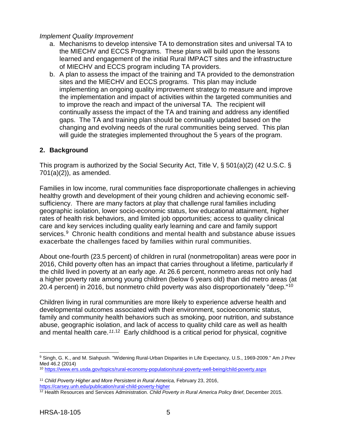#### *Implement Quality Improvement*

- a. Mechanisms to develop intensive TA to demonstration sites and universal TA to the MIECHV and ECCS Programs. These plans will build upon the lessons learned and engagement of the initial Rural IMPACT sites and the infrastructure of MIECHV and ECCS program including TA providers.
- b. A plan to assess the impact of the training and TA provided to the demonstration sites and the MIECHV and ECCS programs. This plan may include implementing an ongoing quality improvement strategy to measure and improve the implementation and impact of activities within the targeted communities and to improve the reach and impact of the universal TA. The recipient will continually assess the impact of the TA and training and address any identified gaps. The TA and training plan should be continually updated based on the changing and evolving needs of the rural communities being served. This plan will guide the strategies implemented throughout the 5 years of the program.

### <span id="page-8-0"></span>**2. Background**

This program is authorized by the Social Security Act, Title V, § 501(a)(2) (42 U.S.C. § 701(a)(2)), as amended.

Families in low income, rural communities face disproportionate challenges in achieving healthy growth and development of their young children and achieving economic selfsufficiency. There are many factors at play that challenge rural families including geographic isolation, lower socio-economic status, low educational attainment, higher rates of health risk behaviors, and limited job opportunities; access to quality clinical care and key services including quality early learning and care and family support services.<sup>[9](#page-8-1)</sup> Chronic health conditions and mental health and substance abuse issues exacerbate the challenges faced by families within rural communities.

About one-fourth (23.5 percent) of children in rural (nonmetropolitan) areas were poor in 2016, Child poverty often has an impact that carries throughout a lifetime, particularly if the child lived in poverty at an early age. At 26.6 percent, nonmetro areas not only had a higher poverty rate among young children (below 6 years old) than did metro areas (at 20.4 percent) in 2016, but nonmetro child poverty was also disproportionately "deep."[10](#page-8-2)

Children living in rural communities are more likely to experience adverse health and developmental outcomes associated with their environment, socioeconomic status, family and community health behaviors such as smoking, poor nutrition, and substance abuse, geographic isolation, and lack of access to quality child care as well as health and mental health care.*[11](#page-8-3)*,[12](#page-8-4) Early childhood is a critical period for physical, cognitive

<span id="page-8-1"></span> $\overline{a}$ <sup>9</sup> Singh, G. K., and M. Siahpush. "Widening Rural-Urban Disparities in Life Expectancy, U.S., 1969-2009." Am J Prev Med 46.2 (2014)

<span id="page-8-2"></span><sup>10</sup> <https://www.ers.usda.gov/topics/rural-economy-population/rural-poverty-well-being/child-poverty.aspx>

<span id="page-8-3"></span><sup>11</sup> *Child Poverty Higher and More Persistent in Rural America,* February 23, 2016, <https://carsey.unh.edu/publication/rural-child-poverty-higher>

<span id="page-8-4"></span><sup>12</sup> Health Resources and Services Administration. *Child Poverty in Rural America Policy Brief*, December 2015.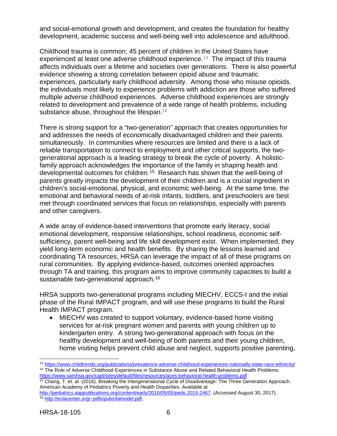and social-emotional growth and development, and creates the foundation for healthy development, academic success and well-being well into adolescence and adulthood.

Childhood trauma is common; 45 percent of children in the United States have experienced at least one adverse childhood experience.<sup>[13](#page-9-0)</sup> The impact of this trauma affects individuals over a lifetime and societies over generations. There is also powerful evidence showing a strong correlation between opioid abuse and traumatic experiences, particularly early childhood adversity. Among those who misuse opioids, the individuals most likely to experience problems with addiction are those who suffered multiple adverse childhood experiences. Adverse childhood experiences are strongly related to development and prevalence of a wide range of health problems, including substance abuse, throughout the lifespan.<sup>[14](#page-9-1)</sup>

There is strong support for a "two-generation" approach that creates opportunities for and addresses the needs of economically disadvantaged children and their parents simultaneously. In communities where resources are limited and there is a lack of reliable transportation to connect to employment and other critical supports, the twogenerational approach is a leading strategy to break the cycle of poverty. A holisticfamily approach acknowledges the importance of the family in shaping health and developmental outcomes for children.<sup>[15](#page-9-2)</sup> Research has shown that the well-being of parents greatly impacts the development of their children and is a crucial ingredient in children's social-emotional, physical, and economic well-being. At the same time, the emotional and behavioral needs of at-risk infants, toddlers, and preschoolers are best met through coordinated services that focus on relationships, especially with parents and other caregivers.

A wide array of evidence-based interventions that promote early literacy, social emotional development, responsive relationships, school readiness, economic selfsufficiency, parent well-being and life skill development exist. When implemented, they yield long-term economic and health benefits. By sharing the lessons learned and coordinating TA resources, HRSA can leverage the impact of all of these programs on rural communities. By applying evidence-based, outcomes oriented approaches through TA and training, this program aims to improve community capacities to build a sustainable two-generational approach.<sup>[16](#page-9-3)</sup>

HRSA supports two-generational programs including MIECHV, ECCS-I and the initial phase of the Rural IMPACT program, and will use these programs to build the Rural Health IMPACT program.

• MIECHV was created to support voluntary, evidence-based home visiting services for at-risk pregnant women and parents with young children up to kindergarten entry. A strong two-generational approach with focus on the healthy development and well-being of both parents and their young children, home visiting helps prevent child abuse and neglect, supports positive parenting,

 $\overline{a}$ 

<span id="page-9-1"></span><span id="page-9-0"></span><sup>13</sup> <https://www.childtrends.org/publications/prevalence-adverse-childhood-experiences-nationally-state-race-ethnicity/> <sup>14</sup> The Role of Adverse Childhood Experiences in Substance Abuse and Related Behavioral Health Problems <https://www.samhsa.gov/capt/sites/default/files/resources/aces-behavioral-health-problems.pdf>

<span id="page-9-2"></span><sup>&</sup>lt;sup>15</sup> Chang, T. et. al. (2016). Breaking the Intergenerational Cycle of Disadvantage: The Three Generation Approach. American Academy of Pediatrics Poverty and Health Disparities. Available at

<span id="page-9-3"></span>[http://pediatrics.aappublications.org/content/early/2016/05/05/peds.2015-2467.](http://pediatrics.aappublications.org/content/early/2016/05/05/peds.2015-2467) (Accessed August 30, 2017). <sup>16</sup> [http://ectacenter.org/~pdfs/pubs/tamodel.pdf,](http://ectacenter.org/%7Epdfs/pubs/tamodel.pdf)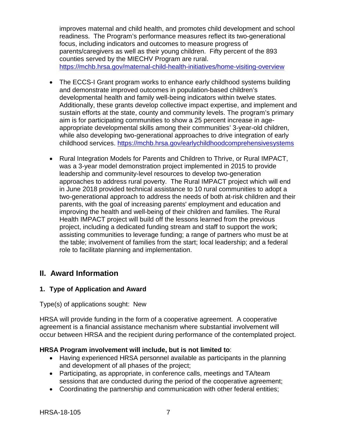improves maternal and child health, and promotes child development and school readiness. The Program's performance measures reflect its two-generational focus, including indicators and outcomes to measure progress of parents/caregivers as well as their young children. Fifty percent of the 893 counties served by the MIECHV Program are rural. <https://mchb.hrsa.gov/maternal-child-health-initiatives/home-visiting-overview>

- The ECCS-I Grant program works to enhance early childhood systems building and demonstrate improved outcomes in population-based children's developmental health and family well-being indicators within twelve states. Additionally, these grants develop collective impact expertise, and implement and sustain efforts at the state, county and community levels. The program's primary aim is for participating communities to show a 25 percent increase in ageappropriate developmental skills among their communities' 3-year-old children, while also developing two-generational approaches to drive integration of early childhood services. <https://mchb.hrsa.gov/earlychildhoodcomprehensivesystems>
- Rural Integration Models for Parents and Children to Thrive, or Rural IMPACT, was a 3-year model demonstration project implemented in 2015 to provide leadership and community-level resources to develop two-generation approaches to address rural poverty. The Rural IMPACT project which will end in June 2018 provided technical assistance to 10 rural communities to adopt a two-generational approach to address the needs of both at-risk children and their parents, with the goal of increasing parents' employment and education and improving the health and well-being of their children and families. The Rural Health IMPACT project will build off the lessons learned from the previous project, including a dedicated funding stream and staff to support the work; assisting communities to leverage funding; a range of partners who must be at the table; involvement of families from the start; local leadership; and a federal role to facilitate planning and implementation.

# <span id="page-10-0"></span>**II. Award Information**

# <span id="page-10-1"></span>**1. Type of Application and Award**

Type(s) of applications sought: New

HRSA will provide funding in the form of a cooperative agreement. A cooperative agreement is a financial assistance mechanism where substantial involvement will occur between HRSA and the recipient during performance of the contemplated project.

#### **HRSA Program involvement will include, but is not limited to**:

- Having experienced HRSA personnel available as participants in the planning and development of all phases of the project;
- Participating, as appropriate, in conference calls, meetings and TA/team sessions that are conducted during the period of the cooperative agreement;
- Coordinating the partnership and communication with other federal entities;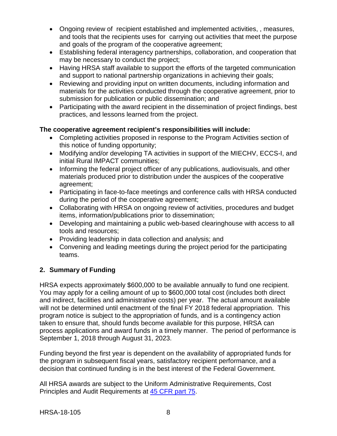- Ongoing review of recipient established and implemented activities, , measures, and tools that the recipients uses for carrying out activities that meet the purpose and goals of the program of the cooperative agreement;
- Establishing federal interagency partnerships, collaboration, and cooperation that may be necessary to conduct the project;
- Having HRSA staff available to support the efforts of the targeted communication and support to national partnership organizations in achieving their goals;
- Reviewing and providing input on written documents, including information and materials for the activities conducted through the cooperative agreement, prior to submission for publication or public dissemination; and
- Participating with the award recipient in the dissemination of project findings, best practices, and lessons learned from the project.

# **The cooperative agreement recipient's responsibilities will include:**

- Completing activities proposed in response to the Program Activities section of this notice of funding opportunity;
- Modifying and/or developing TA activities in support of the MIECHV, ECCS-I, and initial Rural IMPACT communities;
- Informing the federal project officer of any publications, audiovisuals, and other materials produced prior to distribution under the auspices of the cooperative agreement;
- Participating in face-to-face meetings and conference calls with HRSA conducted during the period of the cooperative agreement;
- Collaborating with HRSA on ongoing review of activities, procedures and budget items, information/publications prior to dissemination;
- Developing and maintaining a public web-based clearinghouse with access to all tools and resources;
- Providing leadership in data collection and analysis; and
- Convening and leading meetings during the project period for the participating teams.

# <span id="page-11-0"></span>**2. Summary of Funding**

HRSA expects approximately \$600,000 to be available annually to fund one recipient. You may apply for a ceiling amount of up to \$600,000 total cost (includes both direct and indirect, facilities and administrative costs) per year. The actual amount available will not be determined until enactment of the final FY 2018 federal appropriation. This program notice is subject to the appropriation of funds, and is a contingency action taken to ensure that, should funds become available for this purpose, HRSA can process applications and award funds in a timely manner. The period of performance is September 1, 2018 through August 31, 2023.

Funding beyond the first year is dependent on the availability of appropriated funds for the program in subsequent fiscal years, satisfactory recipient performance, and a decision that continued funding is in the best interest of the Federal Government.

All HRSA awards are subject to the Uniform Administrative Requirements, Cost Principles and Audit Requirements at [45 CFR part 75.](http://www.ecfr.gov/cgi-bin/retrieveECFR?gp=1&SID=4d52364ec83fab994c665943dadf9cf7&ty=HTML&h=L&r=PART&n=pt45.1.75)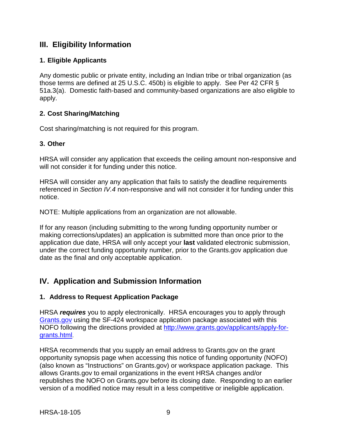# <span id="page-12-1"></span>**III. Eligibility Information**

# <span id="page-12-0"></span>**1. Eligible Applicants**

Any domestic public or private entity, including an Indian tribe or tribal organization (as those terms are defined at 25 U.S.C. 450b) is eligible to apply. See Per 42 CFR § 51a.3(a). Domestic faith-based and community-based organizations are also eligible to apply.

# <span id="page-12-2"></span>**2. Cost Sharing/Matching**

Cost sharing/matching is not required for this program.

# <span id="page-12-3"></span>**3. Other**

HRSA will consider any application that exceeds the ceiling amount non-responsive and will not consider it for funding under this notice.

HRSA will consider any any application that fails to satisfy the deadline requirements referenced in *Section IV.4* non-responsive and will not consider it for funding under this notice.

NOTE: Multiple applications from an organization are not allowable.

If for any reason (including submitting to the wrong funding opportunity number or making corrections/updates) an application is submitted more than once prior to the application due date, HRSA will only accept your **last** validated electronic submission, under the correct funding opportunity number, prior to the Grants.gov application due date as the final and only acceptable application.

# <span id="page-12-4"></span>**IV. Application and Submission Information**

# <span id="page-12-5"></span>**1. Address to Request Application Package**

HRSA *requires* you to apply electronically. HRSA encourages you to apply through [Grants.gov](https://www.grants.gov/) using the SF-424 workspace application package associated with this NOFO following the directions provided at [http://www.grants.gov/applicants/apply-for](http://www.grants.gov/applicants/apply-for-grants.html)[grants.html.](http://www.grants.gov/applicants/apply-for-grants.html)

HRSA recommends that you supply an email address to Grants.gov on the grant opportunity synopsis page when accessing this notice of funding opportunity (NOFO) (also known as "Instructions" on Grants.gov) or workspace application package. This allows Grants.gov to email organizations in the event HRSA changes and/or republishes the NOFO on Grants.gov before its closing date. Responding to an earlier version of a modified notice may result in a less competitive or ineligible application.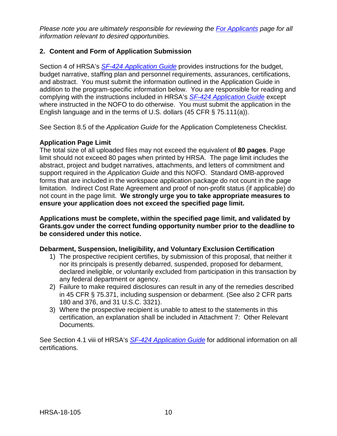*Please note you are ultimately responsible for reviewing the [For Applicants](https://www.grants.gov/web/grants/applicants.html) page for all information relevant to desired opportunities.*

# <span id="page-13-0"></span>**2. Content and Form of Application Submission**

Section 4 of HRSA's *SF-424 [Application Guide](http://www.hrsa.gov/grants/apply/applicationguide/sf424guide.pdf)* provides instructions for the budget, budget narrative, staffing plan and personnel requirements, assurances, certifications, and abstract. You must submit the information outlined in the Application Guide in addition to the program-specific information below. You are responsible for reading and complying with the instructions included in HRSA's *SF-424 [Application Guide](http://www.hrsa.gov/grants/apply/applicationguide/sf424guide.pdf)* except where instructed in the NOFO to do otherwise. You must submit the application in the English language and in the terms of U.S. dollars (45 CFR § 75.111(a)).

See Section 8.5 of the *Application Guide* for the Application Completeness Checklist.

# **Application Page Limit**

The total size of all uploaded files may not exceed the equivalent of **80 pages**. Page limit should not exceed 80 pages when printed by HRSA. The page limit includes the abstract, project and budget narratives, attachments, and letters of commitment and support required in the *Application Guide* and this NOFO. Standard OMB-approved forms that are included in the workspace application package do not count in the page limitation. Indirect Cost Rate Agreement and proof of non-profit status (if applicable) do not count in the page limit. **We strongly urge you to take appropriate measures to ensure your application does not exceed the specified page limit.**

**Applications must be complete, within the specified page limit, and validated by Grants.gov under the correct funding opportunity number prior to the deadline to be considered under this notice.**

#### **Debarment, Suspension, Ineligibility, and Voluntary Exclusion Certification**

- 1) The prospective recipient certifies, by submission of this proposal, that neither it nor its principals is presently debarred, suspended, proposed for debarment, declared ineligible, or voluntarily excluded from participation in this transaction by any federal department or agency.
- 2) Failure to make required disclosures can result in any of the remedies described in 45 CFR § 75.371, including suspension or debarment. (See also 2 CFR parts 180 and 376, and 31 U.S.C. 3321).
- 3) Where the prospective recipient is unable to attest to the statements in this certification, an explanation shall be included in Attachment 7: Other Relevant Documents.

See Section 4.1 viii of HRSA's *SF-424 [Application Guide](http://www.hrsa.gov/grants/apply/applicationguide/sf424guide.pdf)* for additional information on all certifications.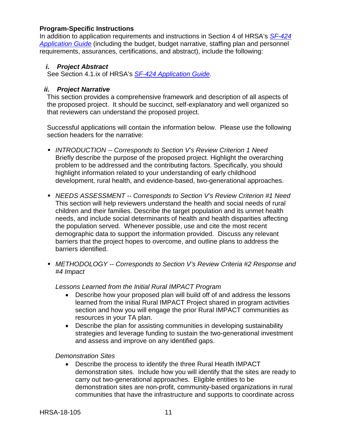#### **Program-Specific Instructions**

In addition to application requirements and instructions in Section 4 of HRSA's *[SF-424](http://www.hrsa.gov/grants/apply/applicationguide/sf424guide.pdf) [Application Guide](http://www.hrsa.gov/grants/apply/applicationguide/sf424guide.pdf)* (including the budget, budget narrative, staffing plan and personnel requirements, assurances, certifications, and abstract), include the following:

# <span id="page-14-0"></span>*i. Project Abstract*

See Section 4.1.ix of HRSA's *SF-424 [Application Guide.](http://www.hrsa.gov/grants/apply/applicationguide/sf424guide.pdf)*

# <span id="page-14-1"></span>*ii. Project Narrative*

This section provides a comprehensive framework and description of all aspects of the proposed project. It should be succinct, self-explanatory and well organized so that reviewers can understand the proposed project.

Successful applications will contain the information below. Please use the following section headers for the narrative:

- *INTRODUCTION -- Corresponds to Section V's Review Criterion 1 Need* Briefly describe the purpose of the proposed project. Highlight the overarching problem to be addressed and the contributing factors. Specifically, you should highlight information related to your understanding of early childhood development, rural health, and evidence-based, two-generational approaches.
- *NEEDS ASSESSMENT -- Corresponds to Section V's Review Criterion #1 Need* This section will help reviewers understand the health and social needs of rural children and their families. Describe the target population and its unmet health needs, and include social determinants of health and health disparities affecting the population served. Whenever possible, use and cite the most recent demographic data to support the information provided. Discuss any relevant barriers that the project hopes to overcome, and outline plans to address the barriers identified.
- *METHODOLOGY -- Corresponds to Section V's Review Criteria #2 Response and #4 Impact*

#### *Lessons Learned from the Initial Rural IMPACT Program*

- Describe how your proposed plan will build off of and address the lessons learned from the initial Rural IMPACT Project shared in program activities section and how you will engage the prior Rural IMPACT communities as resources in your TA plan.
- Describe the plan for assisting communities in developing sustainability strategies and leverage funding to sustain the two-generational investment and assess and improve on any identified gaps.

#### *Demonstration Sites*

• Describe the process to identify the three Rural Heatlh IMPACT demonstration sites. Include how you will identify that the sites are ready to carry out two-generational approaches. Eligible entities to be demonstration sites are non-profit, community-based organizations in rural communities that have the infrastructure and supports to coordinate across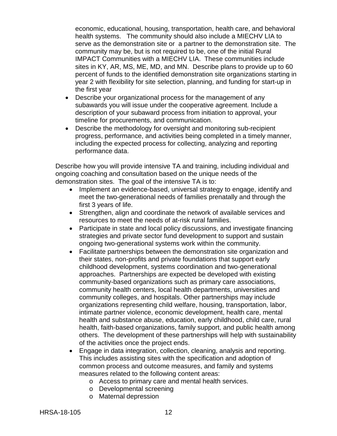economic, educational, housing, transportation, health care, and behavioral health systems. The community should also include a MIECHV LIA to serve as the demonstration site or a partner to the demonstration site. The community may be, but is not required to be, one of the initial Rural IMPACT Communities with a MIECHV LIA. These communities include sites in KY, AR, MS, ME, MD, and MN. Describe plans to provide up to 60 percent of funds to the identified demonstration site organizations starting in year 2 with flexibility for site selection, planning, and funding for start-up in the first year

- Describe your organizational process for the management of any subawards you will issue under the cooperative agreement. Include a description of your subaward process from initiation to approval, your timeline for procurements, and communication.
- Describe the methodology for oversight and monitoring sub-recipient progress, performance, and activities being completed in a timely manner, including the expected process for collecting, analyzing and reporting performance data.

Describe how you will provide intensive TA and training, including individual and ongoing coaching and consultation based on the unique needs of the demonstration sites. The goal of the intensive TA is to:

- Implement an evidence-based, universal strategy to engage, identify and meet the two-generational needs of families prenatally and through the first 3 years of life.
- Strengthen, align and coordinate the network of available services and resources to meet the needs of at-risk rural families.
- Participate in state and local policy discussions, and investigate financing strategies and private sector fund development to support and sustain ongoing two-generational systems work within the community.
- Facilitate partnerships between the demonstration site organization and their states, non-profits and private foundations that support early childhood development, systems coordination and two-generational approaches. Partnerships are expected be developed with existing community-based organizations such as primary care associations, community health centers, local health departments, universities and community colleges, and hospitals. Other partnerships may include organizations representing child welfare, housing, transportation, labor, intimate partner violence, economic development, health care, mental health and substance abuse, education, early childhood, child care, rural health, faith-based organizations, family support, and public health among others. The development of these partnerships will help with sustainability of the activities once the project ends.
- Engage in data integration, collection, cleaning, analysis and reporting. This includes assisting sites with the specification and adoption of common process and outcome measures, and family and systems measures related to the following content areas:
	- o Access to primary care and mental health services.
	- o Developmental screening
	- o Maternal depression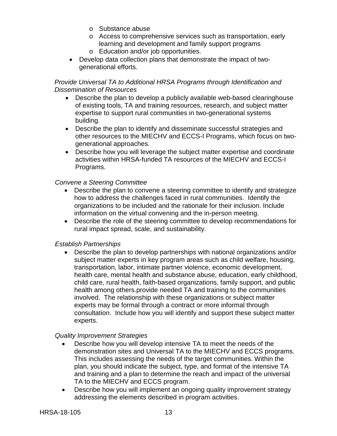- o Substance abuse
- o Access to comprehensive services such as transportation, early learning and development and family support programs
- o Education and/or job opportunities.
- Develop data collection plans that demonstrate the impact of twogenerational efforts.

#### *Provide Universal TA to Additional HRSA Programs through Identification and Dissemination of Resources*

- Describe the plan to develop a publicly available web-based clearinghouse of existing tools, TA and training resources, research, and subject matter expertise to support rural communities in two-generational systems building.
- Describe the plan to identify and disseminate successful strategies and other resources to the MIECHV and ECCS-I Programs, which focus on twogenerational approaches.
- Describe how you will leverage the subject matter expertise and coordinate activities within HRSA-funded TA resources of the MIECHV and ECCS-I Programs.

# *Convene a Steering Committee*

- Describe the plan to convene a steering committee to identify and strategize how to address the challenges faced in rural communities. Identify the organizations to be included and the rationale for their inclusion. Include information on the virtual convening and the in-person meeting.
- Describe the role of the steering committee to develop recommendations for rural impact spread, scale, and sustainability.

# *Establish Partnerships*

• Describe the plan to develop partnerships with national organizations and/or subject matter experts in key program areas such as child welfare, housing, transportation, labor, intimate partner violence, economic development, health care, mental health and substance abuse, education, early childhood, child care, rural health, faith-based organizations, family support, and public health among others.provide needed TA and training to the communities involved. The relationship with these organizations or subject matter experts may be formal through a contract or more informal through consultation. Include how you will identify and support these subject matter experts.

#### *Quality Improvement Strategies*

- Describe how you will develop intensive TA to meet the needs of the demonstration sites and Universal TA to the MIECHV and ECCS programs. This includes assessing the needs of the target communities. Within the plan, you should indicate the subject, type, and format of the intensive TA and training and a plan to determine the reach and impact of the universal TA to the MIECHV and ECCS program.
- Describe how you will implement an ongoing quality improvement strategy addressing the elements described in program activities.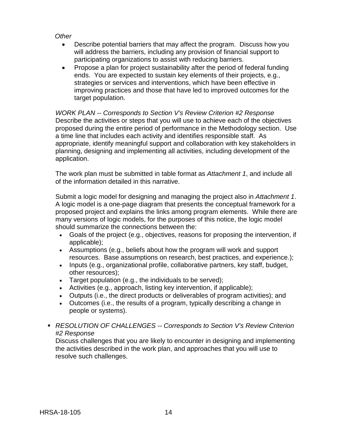#### *Other*

- Describe potential barriers that may affect the program. Discuss how you will address the barriers, including any provision of financial support to participating organizations to assist with reducing barriers.
- Propose a plan for project sustainability after the period of federal funding ends. You are expected to sustain key elements of their projects, e.g., strategies or services and interventions, which have been effective in improving practices and those that have led to improved outcomes for the target population.

*WORK PLAN -- Corresponds to Section V's Review Criterion #2 Response* Describe the activities or steps that you will use to achieve each of the objectives proposed during the entire period of performance in the Methodology section. Use a time line that includes each activity and identifies responsible staff. As appropriate, identify meaningful support and collaboration with key stakeholders in planning, designing and implementing all activities, including development of the application.

The work plan must be submitted in table format as *Attachment 1*, and include all of the information detailed in this narrative.

Submit a logic model for designing and managing the project also in *Attachment 1*. A logic model is a one-page diagram that presents the conceptual framework for a proposed project and explains the links among program elements. While there are many versions of logic models, for the purposes of this notice, the logic model should summarize the connections between the:

- Goals of the project (e.g., objectives, reasons for proposing the intervention, if applicable);
- Assumptions (e.g., beliefs about how the program will work and support resources. Base assumptions on research, best practices, and experience.);
- Inputs (e.g., organizational profile, collaborative partners, key staff, budget, other resources);
- Target population (e.g., the individuals to be served);
- Activities (e.g., approach, listing key intervention, if applicable);
- Outputs (i.e., the direct products or deliverables of program activities); and
- Outcomes (i.e., the results of a program, typically describing a change in people or systems).
- *RESOLUTION OF CHALLENGES -- Corresponds to Section V's Review Criterion #2 Response*

Discuss challenges that you are likely to encounter in designing and implementing the activities described in the work plan, and approaches that you will use to resolve such challenges.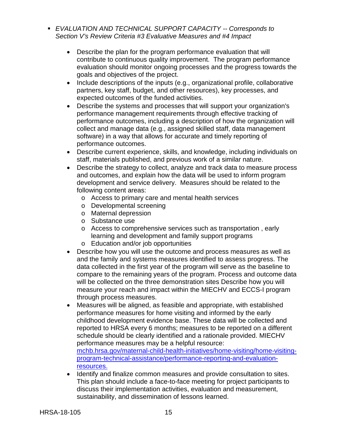- *EVALUATION AND TECHNICAL SUPPORT CAPACITY -- Corresponds to Section V's Review Criteria #3 Evaluative Measures and #4 Impact*
	- Describe the plan for the program performance evaluation that will contribute to continuous quality improvement. The program performance evaluation should monitor ongoing processes and the progress towards the goals and objectives of the project.
	- Include descriptions of the inputs (e.g., organizational profile, collaborative partners, key staff, budget, and other resources), key processes, and expected outcomes of the funded activities.
	- Describe the systems and processes that will support your organization's performance management requirements through effective tracking of performance outcomes, including a description of how the organization will collect and manage data (e.g., assigned skilled staff, data management software) in a way that allows for accurate and timely reporting of performance outcomes.
	- Describe current experience, skills, and knowledge, including individuals on staff, materials published, and previous work of a similar nature.
	- Describe the strategy to collect, analyze and track data to measure process and outcomes, and explain how the data will be used to inform program development and service delivery. Measures should be related to the following content areas:
		- o Access to primary care and mental health services
		- o Developmental screening
		- o Maternal depression
		- o Substance use
		- o Access to comprehensive services such as transportation , early learning and development and family support programs
		- o Education and/or job opportunities
	- Describe how you will use the outcome and process measures as well as and the family and systems measures identified to assess progress. The data collected in the first year of the program will serve as the baseline to compare to the remaining years of the program. Process and outcome data will be collected on the three demonstration sites Describe how you will measure your reach and impact within the MIECHV and ECCS-I program through process measures.
	- Measures will be aligned, as feasible and appropriate, with established performance measures for home visiting and informed by the early childhood development evidence base. These data will be collected and reported to HRSA every 6 months; measures to be reported on a different schedule should be clearly identified and a rationale provided. MIECHV performance measures may be a helpful resource: [mchb.hrsa.gov/maternal-child-health-initiatives/home-visiting/home-visiting](https://mchb.hrsa.gov/maternal-child-health-initiatives/home-visiting/home-visiting-program-technical-assistance/performance-reporting-and-evaluation-resources)[program-technical-assistance/performance-reporting-and-evaluation](https://mchb.hrsa.gov/maternal-child-health-initiatives/home-visiting/home-visiting-program-technical-assistance/performance-reporting-and-evaluation-resources)[resources.](https://mchb.hrsa.gov/maternal-child-health-initiatives/home-visiting/home-visiting-program-technical-assistance/performance-reporting-and-evaluation-resources)
	- Identify and finalize common measures and provide consultation to sites. This plan should include a face-to-face meeting for project participants to discuss their implementation activities, evaluation and measurement, sustainability, and dissemination of lessons learned.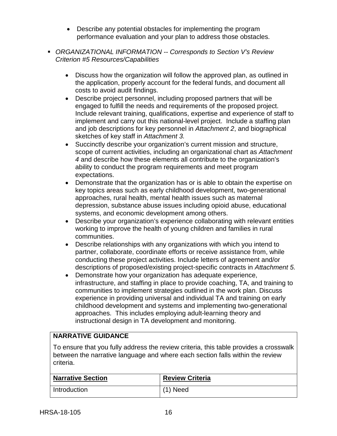- Describe any potential obstacles for implementing the program performance evaluation and your plan to address those obstacles.
- *ORGANIZATIONAL INFORMATION -- Corresponds to Section V's Review Criterion #5 Resources/Capabilities*
	- Discuss how the organization will follow the approved plan, as outlined in the application, properly account for the federal funds, and document all costs to avoid audit findings.
	- Describe project personnel, including proposed partners that will be engaged to fulfill the needs and requirements of the proposed project. Include relevant training, qualifications, expertise and experience of staff to implement and carry out this national-level project. Include a staffing plan and job descriptions for key personnel in *Attachment 2*, and biographical sketches of key staff in *Attachment 3.*
	- Succinctly describe your organization's current mission and structure, scope of current activities, including an organizational chart as *Attachment 4* and describe how these elements all contribute to the organization's ability to conduct the program requirements and meet program expectations.
	- Demonstrate that the organization has or is able to obtain the expertise on key topics areas such as early childhood development, two-generational approaches, rural health, mental health issues such as maternal depression, substance abuse issues including opioid abuse, educational systems, and economic development among others.
	- Describe your organization's experience collaborating with relevant entities working to improve the health of young children and families in rural communities.
	- Describe relationships with any organizations with which you intend to partner, collaborate, coordinate efforts or receive assistance from, while conducting these project activities. Include letters of agreement and/or descriptions of proposed/existing project-specific contracts in *Attachment 5.*
	- Demonstrate how your organization has adequate experience, infrastructure, and staffing in place to provide coaching, TA, and training to communities to implement strategies outlined in the work plan. Discuss experience in providing universal and individual TA and training on early childhood development and systems and implementing two-generational approaches. This includes employing adult-learning theory and instructional design in TA development and monitoring.

# **NARRATIVE GUIDANCE**

To ensure that you fully address the review criteria, this table provides a crosswalk between the narrative language and where each section falls within the review criteria.

| <b>Narrative Section</b> | <b>Review Criteria</b> |
|--------------------------|------------------------|
| Introduction             | $(1)$ Need             |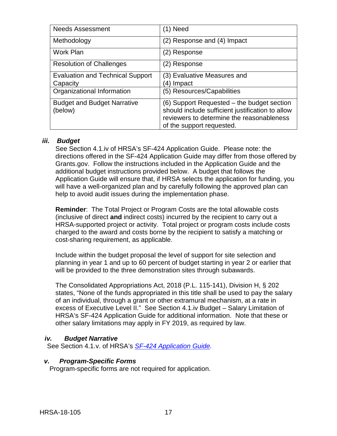| <b>Needs Assessment</b>                 | (1) Need                                         |
|-----------------------------------------|--------------------------------------------------|
| Methodology                             | (2) Response and (4) Impact                      |
| <b>Work Plan</b>                        | (2) Response                                     |
| <b>Resolution of Challenges</b>         | (2) Response                                     |
| <b>Evaluation and Technical Support</b> | (3) Evaluative Measures and                      |
| Capacity                                | (4) Impact                                       |
| Organizational Information              | (5) Resources/Capabilities                       |
| <b>Budget and Budget Narrative</b>      | (6) Support Requested – the budget section       |
| (below)                                 | should include sufficient justification to allow |
|                                         | reviewers to determine the reasonableness        |
|                                         | of the support requested.                        |

#### <span id="page-20-0"></span>*iii. Budget*

See Section 4.1.iv of HRSA's SF-424 Application Guide. Please note: the directions offered in the SF-424 Application Guide may differ from those offered by Grants.gov. Follow the instructions included in the Application Guide and the additional budget instructions provided below. A budget that follows the Application Guide will ensure that, if HRSA selects the application for funding, you will have a well-organized plan and by carefully following the approved plan can help to avoid audit issues during the implementation phase.

**Reminder**: The Total Project or Program Costs are the total allowable costs (inclusive of direct **and** indirect costs) incurred by the recipient to carry out a HRSA-supported project or activity. Total project or program costs include costs charged to the award and costs borne by the recipient to satisfy a matching or cost-sharing requirement, as applicable.

Include within the budget proposal the level of support for site selection and planning in year 1 and up to 60 percent of budget starting in year 2 or earlier that will be provided to the three demonstration sites through subawards.

The Consolidated Appropriations Act, 2018 (P.L. 115-141), Division H, § 202 states, "None of the funds appropriated in this title shall be used to pay the salary of an individual, through a grant or other extramural mechanism, at a rate in excess of Executive Level II." See Section 4.1.iv Budget – Salary Limitation of HRSA's SF-424 Application Guide for additional information. Note that these or other salary limitations may apply in FY 2019, as required by law.

# <span id="page-20-1"></span>*iv. Budget Narrative*

See Section 4.1.v. of HRSA's *SF-424 [Application Guide.](http://www.hrsa.gov/grants/apply/applicationguide/sf424guide.pdf)*

#### <span id="page-20-2"></span>*v. Program-Specific Forms*

Program-specific forms are not required for application.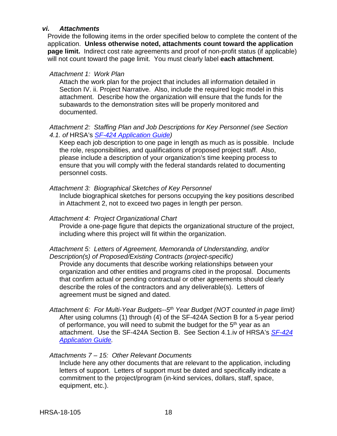#### <span id="page-21-0"></span>*vi. Attachments*

Provide the following items in the order specified below to complete the content of the application. **Unless otherwise noted, attachments count toward the application page limit.** Indirect cost rate agreements and proof of non-profit status (if applicable) will not count toward the page limit. You must clearly label **each attachment**.

#### *Attachment 1: Work Plan*

Attach the work plan for the project that includes all information detailed in Section IV. ii. Project Narrative. Also, include the required logic model in this attachment. Describe how the organization will ensure that the funds for the subawards to the demonstration sites will be properly monitored and documented.

#### *Attachment 2: Staffing Plan and Job Descriptions for Key Personnel (see Section 4.1. of* HRSA's *SF-424 [Application Guide\)](http://www.hrsa.gov/grants/apply/applicationguide/sf424guide.pdf)*

Keep each job description to one page in length as much as is possible. Include the role, responsibilities, and qualifications of proposed project staff. Also, please include a description of your organization's time keeping process to ensure that you will comply with the federal standards related to documenting personnel costs.

### *Attachment 3: Biographical Sketches of Key Personnel*

Include biographical sketches for persons occupying the key positions described in Attachment 2, not to exceed two pages in length per person.

#### *Attachment 4: Project Organizational Chart*

Provide a one-page figure that depicts the organizational structure of the project, including where this project will fit within the organization.

#### *Attachment 5: Letters of Agreement, Memoranda of Understanding, and/or Description(s) of Proposed/Existing Contracts (project-specific)*

Provide any documents that describe working relationships between your organization and other entities and programs cited in the proposal. Documents that confirm actual or pending contractual or other agreements should clearly describe the roles of the contractors and any deliverable(s). Letters of agreement must be signed and dated.

#### *Attachment 6: For Multi-Year Budgets--5th Year Budget (NOT counted in page limit)*  After using columns (1) through (4) of the SF-424A Section B for a 5-year period of performance, you will need to submit the budget for the  $5<sup>th</sup>$  year as an attachment. Use the SF-424A Section B. See Section 4.1.iv of HRSA's *[SF-424](http://www.hrsa.gov/grants/apply/applicationguide/sf424guide.pdf) [Application Guide.](http://www.hrsa.gov/grants/apply/applicationguide/sf424guide.pdf)*

#### *Attachments 7 – 15: Other Relevant Documents*

Include here any other documents that are relevant to the application, including letters of support. Letters of support must be dated and specifically indicate a commitment to the project/program (in-kind services, dollars, staff, space, equipment, etc.).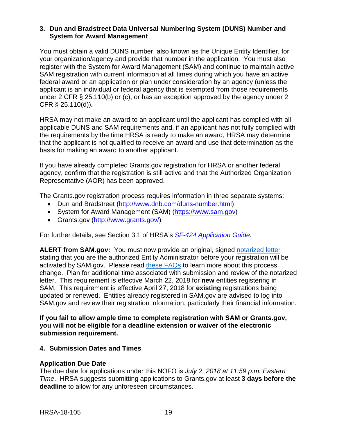#### <span id="page-22-0"></span>**3. Dun and Bradstreet Data Universal Numbering System (DUNS) Number and System for Award Management**

You must obtain a valid DUNS number, also known as the Unique Entity Identifier, for your organization/agency and provide that number in the application. You must also register with the System for Award Management (SAM) and continue to maintain active SAM registration with current information at all times during which you have an active federal award or an application or plan under consideration by an agency (unless the applicant is an individual or federal agency that is exempted from those requirements under 2 CFR § 25.110(b) or (c), or has an exception approved by the agency under 2 CFR § 25.110(d))**.**

HRSA may not make an award to an applicant until the applicant has complied with all applicable DUNS and SAM requirements and, if an applicant has not fully complied with the requirements by the time HRSA is ready to make an award, HRSA may determine that the applicant is not qualified to receive an award and use that determination as the basis for making an award to another applicant.

If you have already completed Grants.gov registration for HRSA or another federal agency, confirm that the registration is still active and that the Authorized Organization Representative (AOR) has been approved.

The Grants.gov registration process requires information in three separate systems:

- Dun and Bradstreet [\(http://www.dnb.com/duns-number.html\)](http://www.dnb.com/duns-number.html)
- System for Award Management (SAM) [\(https://www.sam.gov\)](https://www.sam.gov/)
- Grants.gov [\(http://www.grants.gov/\)](http://www.grants.gov/)

For further details, see Section 3.1 of HRSA's *SF-424 [Application Guide.](http://www.hrsa.gov/grants/apply/applicationguide/sf424guide.pdf)*

**ALERT from SAM.gov:** You must now provide an original, signed [notarized letter](https://www.fsd.gov/fsd-gov/answer.do?sysparm_kbid=d2e67885db0d5f00b3257d321f96194b&sysparm_search=kb0013183) stating that you are the authorized Entity Administrator before your registration will be activated by SAM.gov. Please read [these FAQs](https://www.gsa.gov/about-us/organization/federal-acquisition-service/office-of-systems-management/integrated-award-environment-iae/sam-update) to learn more about this process change. Plan for additional time associated with submission and review of the notarized letter. This requirement is effective March 22, 2018 for **new** entities registering in SAM. This requirement is effective April 27, 2018 for **existing** registrations being updated or renewed. Entities already registered in SAM.gov are advised to log into SAM.gov and review their registration information, particularly their financial information.

**If you fail to allow ample time to complete registration with SAM or Grants.gov, you will not be eligible for a deadline extension or waiver of the electronic submission requirement.**

#### <span id="page-22-1"></span>**4. Submission Dates and Times**

#### **Application Due Date**

The due date for applications under this NOFO is *July 2, 2018 at 11:59 p.m. Eastern Time*. HRSA suggests submitting applications to Grants.gov at least **3 days before the deadline** to allow for any unforeseen circumstances.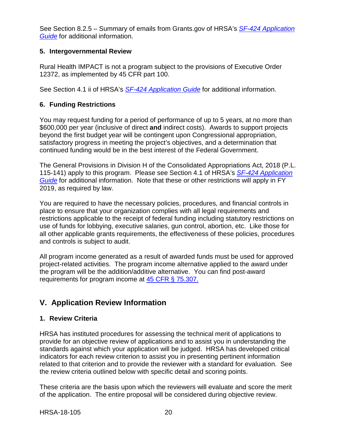See Section 8.2.5 – Summary of emails from Grants.gov of HRSA's *[SF-424 Application](http://www.hrsa.gov/grants/apply/applicationguide/sf424guide.pdf)  [Guide](http://www.hrsa.gov/grants/apply/applicationguide/sf424guide.pdf)* for additional information.

# <span id="page-23-0"></span>**5. Intergovernmental Review**

Rural Health IMPACT is not a program subject to the provisions of Executive Order 12372, as implemented by 45 CFR part 100.

See Section 4.1 ii of HRSA's *SF-424 [Application Guide](http://www.hrsa.gov/grants/apply/applicationguide/sf424guide.pdf)* for additional information.

# <span id="page-23-1"></span>**6. Funding Restrictions**

You may request funding for a period of performance of up to 5 years, at no more than \$600,000 per year (inclusive of direct **and** indirect costs). Awards to support projects beyond the first budget year will be contingent upon Congressional appropriation, satisfactory progress in meeting the project's objectives, and a determination that continued funding would be in the best interest of the Federal Government.

The General Provisions in Division H of the Consolidated Appropriations Act, 2018 (P.L. 115-141) apply to this program. Please see Section 4.1 of HRSA's *SF-424 [Application](http://www.hrsa.gov/grants/apply/applicationguide/sf424guide.pdf)  [Guide](http://www.hrsa.gov/grants/apply/applicationguide/sf424guide.pdf)* for additional information. Note that these or other restrictions will apply in FY 2019, as required by law.

You are required to have the necessary policies, procedures, and financial controls in place to ensure that your organization complies with all legal requirements and restrictions applicable to the receipt of federal funding including statutory restrictions on use of funds for lobbying, executive salaries, gun control, abortion, etc. Like those for all other applicable grants requirements, the effectiveness of these policies, procedures and controls is subject to audit.

All program income generated as a result of awarded funds must be used for approved project-related activities. The program income alternative applied to the award under the program will be the addition/additive alternative. You can find post-award requirements for program income at [45 CFR § 75.307.](https://www.ecfr.gov/cgi-bin/retrieveECFR?gp=1&SID=4d52364ec83fab994c665943dadf9cf7&ty=HTML&h=L&r=PART&n=pt45.1.75)

# <span id="page-23-2"></span>**V. Application Review Information**

# <span id="page-23-3"></span>**1. Review Criteria**

HRSA has instituted procedures for assessing the technical merit of applications to provide for an objective review of applications and to assist you in understanding the standards against which your application will be judged. HRSA has developed critical indicators for each review criterion to assist you in presenting pertinent information related to that criterion and to provide the reviewer with a standard for evaluation. See the review criteria outlined below with specific detail and scoring points.

These criteria are the basis upon which the reviewers will evaluate and score the merit of the application. The entire proposal will be considered during objective review.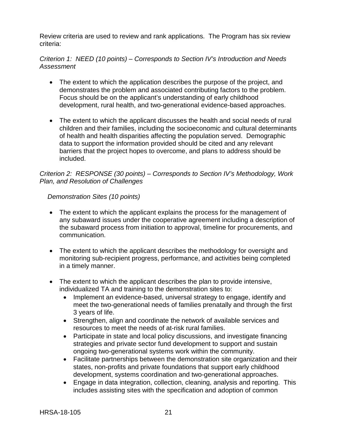Review criteria are used to review and rank applications. The Program has six review criteria:

# *Criterion 1: NEED (10 points) – Corresponds to Section IV's Introduction and Needs Assessment*

- The extent to which the application describes the purpose of the project, and demonstrates the problem and associated contributing factors to the problem. Focus should be on the applicant's understanding of early childhood development, rural health, and two-generational evidence-based approaches.
- The extent to which the applicant discusses the health and social needs of rural children and their families, including the socioeconomic and cultural determinants of health and health disparities affecting the population served. Demographic data to support the information provided should be cited and any relevant barriers that the project hopes to overcome, and plans to address should be included.

### *Criterion 2: RESPONSE (30 points) – Corresponds to Section IV's Methodology, Work Plan, and Resolution of Challenges*

### *Demonstration Sites (10 points)*

- The extent to which the applicant explains the process for the management of any subaward issues under the cooperative agreement including a description of the subaward process from initiation to approval, timeline for procurements, and communication.
- The extent to which the applicant describes the methodology for oversight and monitoring sub-recipient progress, performance, and activities being completed in a timely manner.
- The extent to which the applicant describes the plan to provide intensive, individualized TA and training to the demonstration sites to:
	- Implement an evidence-based, universal strategy to engage, identify and meet the two-generational needs of families prenatally and through the first 3 years of life.
	- Strengthen, align and coordinate the network of available services and resources to meet the needs of at-risk rural families.
	- Participate in state and local policy discussions, and investigate financing strategies and private sector fund development to support and sustain ongoing two-generational systems work within the community.
	- Facilitate partnerships between the demonstration site organization and their states, non-profits and private foundations that support early childhood development, systems coordination and two-generational approaches.
	- Engage in data integration, collection, cleaning, analysis and reporting. This includes assisting sites with the specification and adoption of common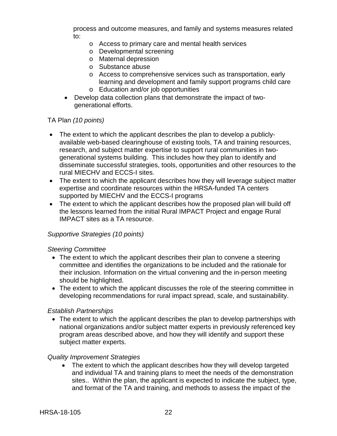process and outcome measures, and family and systems measures related to:

- o Access to primary care and mental health services
- o Developmental screening
- o Maternal depression
- o Substance abuse
- o Access to comprehensive services such as transportation, early learning and development and family support programs child care
- o Education and/or job opportunities
- Develop data collection plans that demonstrate the impact of twogenerational efforts.

### TA Plan *(10 points)*

- The extent to which the applicant describes the plan to develop a publiclyavailable web-based clearinghouse of existing tools, TA and training resources, research, and subject matter expertise to support rural communities in twogenerational systems building. This includes how they plan to identify and disseminate successful strategies, tools, opportunities and other resources to the rural MIECHV and ECCS-I sites.
- The extent to which the applicant describes how they will leverage subject matter expertise and coordinate resources within the HRSA-funded TA centers supported by MIECHV and the ECCS-I programs
- The extent to which the applicant describes how the proposed plan will build off the lessons learned from the initial Rural IMPACT Project and engage Rural IMPACT sites as a TA resource.

### *Supportive Strategies (10 points)*

#### *Steering Committee*

- The extent to which the applicant describes their plan to convene a steering committee and identifies the organizations to be included and the rationale for their inclusion. Information on the virtual convening and the in-person meeting should be highlighted.
- The extent to which the applicant discusses the role of the steering committee in developing recommendations for rural impact spread, scale, and sustainability.

#### *Establish Partnerships*

• The extent to which the applicant describes the plan to develop partnerships with national organizations and/or subject matter experts in previously referenced key program areas described above, and how they will identify and support these subject matter experts.

#### *Quality Improvement Strategies*

The extent to which the applicant describes how they will develop targeted and individual TA and training plans to meet the needs of the demonstration sites.. Within the plan, the applicant is expected to indicate the subject, type, and format of the TA and training, and methods to assess the impact of the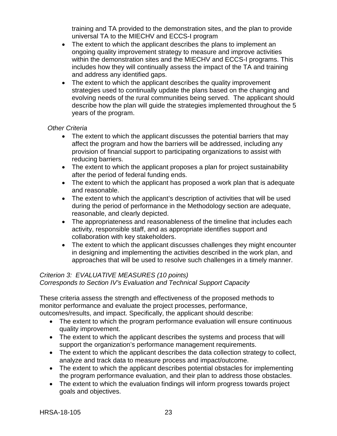training and TA provided to the demonstration sites, and the plan to provide universal TA to the MIECHV and ECCS-I program

- The extent to which the applicant describes the plans to implement an ongoing quality improvement strategy to measure and improve activities within the demonstration sites and the MIECHV and ECCS-I programs. This includes how they will continually assess the impact of the TA and training and address any identified gaps.
- The extent to which the applicant describes the quality improvement strategies used to continually update the plans based on the changing and evolving needs of the rural communities being served. The applicant should describe how the plan will guide the strategies implemented throughout the 5 years of the program.

### *Other Criteria*

- The extent to which the applicant discusses the potential barriers that may affect the program and how the barriers will be addressed, including any provision of financial support to participating organizations to assist with reducing barriers.
- The extent to which the applicant proposes a plan for project sustainability after the period of federal funding ends.
- The extent to which the applicant has proposed a work plan that is adequate and reasonable.
- The extent to which the applicant's description of activities that will be used during the period of performance in the Methodology section are adequate, reasonable, and clearly depicted.
- The appropriateness and reasonableness of the timeline that includes each activity, responsible staff, and as appropriate identifies support and collaboration with key stakeholders.
- The extent to which the applicant discusses challenges they might encounter in designing and implementing the activities described in the work plan, and approaches that will be used to resolve such challenges in a timely manner.

# *Criterion 3: EVALUATIVE MEASURES (10 points)*

# *Corresponds to Section IV's Evaluation and Technical Support Capacity*

These criteria assess the strength and effectiveness of the proposed methods to monitor performance and evaluate the project processes, performance, outcomes/results, and impact. Specifically, the applicant should describe:

- The extent to which the program performance evaluation will ensure continuous quality improvement.
- The extent to which the applicant describes the systems and process that will support the organization's performance management requirements.
- The extent to which the applicant describes the data collection strategy to collect, analyze and track data to measure process and impact/outcome.
- The extent to which the applicant describes potential obstacles for implementing the program performance evaluation, and their plan to address those obstacles.
- The extent to which the evaluation findings will inform progress towards project goals and objectives.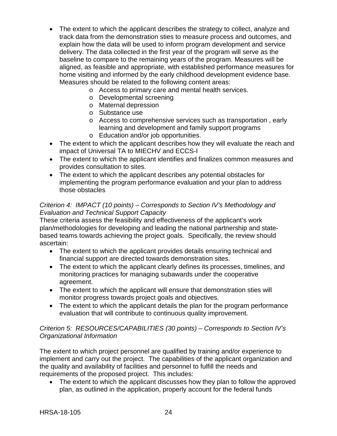- The extent to which the applicant describes the strategy to collect, analyze and track data from the demonstration sties to measure process and outcomes, and explain how the data will be used to inform program development and service delivery. The data collected in the first year of the program will serve as the baseline to compare to the remaining years of the program. Measures will be aligned, as feasible and appropriate, with established performance measures for home visiting and informed by the early childhood development evidence base. Measures should be related to the following content areas:
	- o Access to primary care and mental health services.
	- o Developmental screening
	- o Maternal depression
	- o Substance use
	- o Access to comprehensive services such as transportation , early learning and development and family support programs
	- o Education and/or job opportunities.
- The extent to which the applicant describes how they will evaluate the reach and impact of Universal TA to MIECHV and ECCS-I
- The extent to which the applicant identifies and finalizes common measures and provides consultation to sites.
- The extent to which the applicant describes any potential obstacles for implementing the program performance evaluation and your plan to address those obstacles

#### *Criterion 4: IMPACT (10 points) – Corresponds to Section IV's Methodology and Evaluation and Technical Support Capacity*

These criteria assess the feasibility and effectiveness of the applicant's work plan/methodologies for developing and leading the national partnership and statebased teams towards achieving the project goals. Specifically, the review should ascertain:

- The extent to which the applicant provides details ensuring technical and financial support are directed towards demonstration sites.
- The extent to which the applicant clearly defines its processes, timelines, and monitoring practices for managing subawards under the cooperative agreement.
- The extent to which the applicant will ensure that demonstration sties will monitor progress towards project goals and objectives.
- The extent to which the applicant details the plan for the program performance evaluation that will contribute to continuous quality improvement.

#### *Criterion 5: RESOURCES/CAPABILITIES (30 points) – Corresponds to Section IV's Organizational Information*

The extent to which project personnel are qualified by training and/or experience to implement and carry out the project. The capabilities of the applicant organization and the quality and availability of facilities and personnel to fulfill the needs and requirements of the proposed project. This includes:

The extent to which the applicant discusses how they plan to follow the approved plan, as outlined in the application, properly account for the federal funds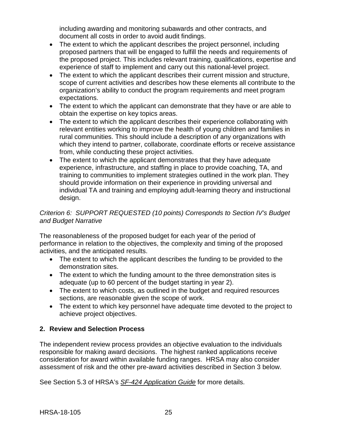including awarding and monitoring subawards and other contracts, and document all costs in order to avoid audit findings.

- The extent to which the applicant describes the project personnel, including proposed partners that will be engaged to fulfill the needs and requirements of the proposed project. This includes relevant training, qualifications, expertise and experience of staff to implement and carry out this national-level project.
- The extent to which the applicant describes their current mission and structure, scope of current activities and describes how these elements all contribute to the organization's ability to conduct the program requirements and meet program expectations.
- The extent to which the applicant can demonstrate that they have or are able to obtain the expertise on key topics areas.
- The extent to which the applicant describes their experience collaborating with relevant entities working to improve the health of young children and families in rural communities. This should include a description of any organizations with which they intend to partner, collaborate, coordinate efforts or receive assistance from, while conducting these project activities.
- The extent to which the applicant demonstrates that they have adequate experience, infrastructure, and staffing in place to provide coaching, TA, and training to communities to implement strategies outlined in the work plan. They should provide information on their experience in providing universal and individual TA and training and employing adult-learning theory and instructional design.

# *Criterion 6: SUPPORT REQUESTED (10 points) Corresponds to Section IV's Budget and Budget Narrative*

The reasonableness of the proposed budget for each year of the period of performance in relation to the objectives, the complexity and timing of the proposed activities, and the anticipated results.

- The extent to which the applicant describes the funding to be provided to the demonstration sites.
- The extent to which the funding amount to the three demonstration sites is adequate (up to 60 percent of the budget starting in year 2).
- The extent to which costs, as outlined in the budget and required resources sections, are reasonable given the scope of work.
- The extent to which key personnel have adequate time devoted to the project to achieve project objectives.

# <span id="page-28-0"></span>**2. Review and Selection Process**

The independent review process provides an objective evaluation to the individuals responsible for making award decisions. The highest ranked applications receive consideration for award within available funding ranges. HRSA may also consider assessment of risk and the other pre-award activities described in Section 3 below.

See Section 5.3 of HRSA's *SF-424 [Application Guide](http://www.hrsa.gov/grants/apply/applicationguide/sf424guide.pdf)* for more details.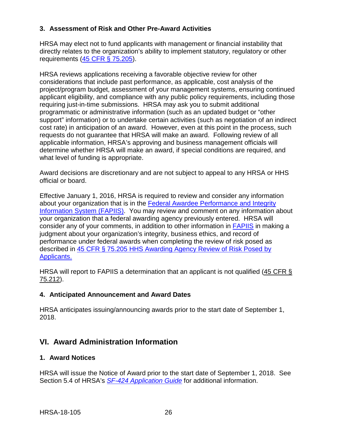# <span id="page-29-0"></span>**3. Assessment of Risk and Other Pre-Award Activities**

HRSA may elect not to fund applicants with management or financial instability that directly relates to the organization's ability to implement statutory, regulatory or other requirements [\(45 CFR § 75.205\)](https://www.ecfr.gov/cgi-bin/retrieveECFR?gp=1&SID=4d52364ec83fab994c665943dadf9cf7&ty=HTML&h=L&r=PART&n=pt45.1.75).

HRSA reviews applications receiving a favorable objective review for other considerations that include past performance, as applicable, cost analysis of the project/program budget, assessment of your management systems, ensuring continued applicant eligibility, and compliance with any public policy requirements, including those requiring just-in-time submissions. HRSA may ask you to submit additional programmatic or administrative information (such as an updated budget or "other support" information) or to undertake certain activities (such as negotiation of an indirect cost rate) in anticipation of an award. However, even at this point in the process, such requests do not guarantee that HRSA will make an award. Following review of all applicable information, HRSA's approving and business management officials will determine whether HRSA will make an award, if special conditions are required, and what level of funding is appropriate.

Award decisions are discretionary and are not subject to appeal to any HRSA or HHS official or board.

Effective January 1, 2016, HRSA is required to review and consider any information about your organization that is in the [Federal Awardee Performance and Integrity](https://www.fapiis.gov/)  [Information System \(FAPIIS\).](https://www.fapiis.gov/) You may review and comment on any information about your organization that a federal awarding agency previously entered. HRSA will consider any of your comments, in addition to other information in [FAPIIS](https://www.fapiis.gov/) in making a judgment about your organization's integrity, business ethics, and record of performance under federal awards when completing the review of risk posed as described in [45 CFR § 75.205 HHS Awarding Agency Review of Risk Posed by](https://www.ecfr.gov/cgi-bin/retrieveECFR?gp=1&SID=4d52364ec83fab994c665943dadf9cf7&ty=HTML&h=L&r=PART&n=pt45.1.75)  [Applicants.](https://www.ecfr.gov/cgi-bin/retrieveECFR?gp=1&SID=4d52364ec83fab994c665943dadf9cf7&ty=HTML&h=L&r=PART&n=pt45.1.75)

HRSA will report to FAPIIS a determination that an applicant is not qualified  $(45 \text{ CFR} \text{S})$ [75.212\)](https://www.ecfr.gov/cgi-bin/retrieveECFR?gp=1&SID=4d52364ec83fab994c665943dadf9cf7&ty=HTML&h=L&r=PART&n=pt45.1.75).

#### <span id="page-29-1"></span>**4. Anticipated Announcement and Award Dates**

HRSA anticipates issuing/announcing awards prior to the start date of September 1, 2018.

# <span id="page-29-2"></span>**VI. Award Administration Information**

# <span id="page-29-3"></span>**1. Award Notices**

HRSA will issue the Notice of Award prior to the start date of September 1, 2018. See Section 5.4 of HRSA's *SF-424 [Application Guide](http://www.hrsa.gov/grants/apply/applicationguide/sf424guide.pdf)* for additional information.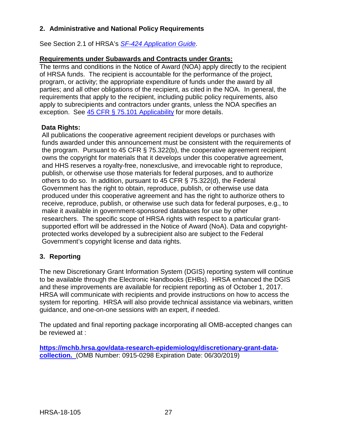# <span id="page-30-0"></span>**2. Administrative and National Policy Requirements**

See Section 2.1 of HRSA's *SF-424 [Application Guide](http://www.hrsa.gov/grants/apply/applicationguide/sf424guide.pdf)*.

### **Requirements under Subawards and Contracts under Grants:**

The terms and conditions in the Notice of Award (NOA) apply directly to the recipient of HRSA funds. The recipient is accountable for the performance of the project, program, or activity; the appropriate expenditure of funds under the award by all parties; and all other obligations of the recipient, as cited in the NOA. In general, the requirements that apply to the recipient, including public policy requirements, also apply to subrecipients and contractors under grants, unless the NOA specifies an exception. See [45 CFR § 75.101 Applicability](https://www.ecfr.gov/cgi-bin/retrieveECFR?gp=1&SID=4d52364ec83fab994c665943dadf9cf7&ty=HTML&h=L&r=PART&n=pt45.1.75) for more details.

### **Data Rights:**

All publications the cooperative agreement recipient develops or purchases with funds awarded under this announcement must be consistent with the requirements of the program. Pursuant to 45 CFR § 75.322(b), the cooperative agreement recipient owns the copyright for materials that it develops under this cooperative agreement, and HHS reserves a royalty-free, nonexclusive, and irrevocable right to reproduce, publish, or otherwise use those materials for federal purposes, and to authorize others to do so. In addition, pursuant to 45 CFR § 75.322(d), the Federal Government has the right to obtain, reproduce, publish, or otherwise use data produced under this cooperative agreement and has the right to authorize others to receive, reproduce, publish, or otherwise use such data for federal purposes, e.g., to make it available in government-sponsored databases for use by other researchers. The specific scope of HRSA rights with respect to a particular grantsupported effort will be addressed in the Notice of Award (NoA). Data and copyrightprotected works developed by a subrecipient also are subject to the Federal Government's copyright license and data rights.

# <span id="page-30-1"></span>**3. Reporting**

The new Discretionary Grant Information System (DGIS) reporting system will continue to be available through the Electronic Handbooks (EHBs). HRSA enhanced the DGIS and these improvements are available for recipient reporting as of October 1, 2017. HRSA will communicate with recipients and provide instructions on how to access the system for reporting. HRSA will also provide technical assistance via webinars, written guidance, and one-on-one sessions with an expert, if needed.

The updated and final reporting package incorporating all OMB-accepted changes can be reviewed at :

**[https://mchb.hrsa.gov/data-research-epidemiology/discretionary-grant-data](https://mchb.hrsa.gov/data-research-epidemiology/discretionary-grant-data-collection)[collection.](https://mchb.hrsa.gov/data-research-epidemiology/discretionary-grant-data-collection)** (OMB Number: 0915-0298 Expiration Date: 06/30/2019)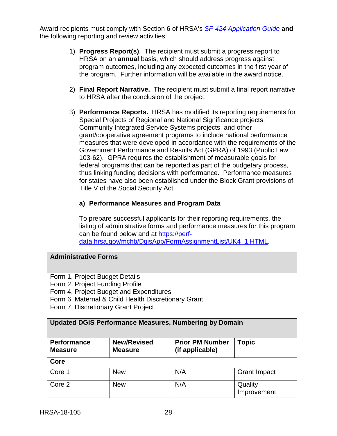Award recipients must comply with Section 6 of HRSA's *SF-424 [Application Guide](http://www.hrsa.gov/grants/apply/applicationguide/sf424guide.pdf)* **and** the following reporting and review activities:

- 1) **Progress Report(s)**. The recipient must submit a progress report to HRSA on an **annual** basis, which should address progress against program outcomes, including any expected outcomes in the first year of the program. Further information will be available in the award notice.
- 2) **Final Report Narrative.** The recipient must submit a final report narrative to HRSA after the conclusion of the project.
- 3) **Performance Reports.** HRSA has modified its reporting requirements for Special Projects of Regional and National Significance projects, Community Integrated Service Systems projects, and other grant/cooperative agreement programs to include national performance measures that were developed in accordance with the requirements of the Government Performance and Results Act (GPRA) of 1993 (Public Law 103-62). GPRA requires the establishment of measurable goals for federal programs that can be reported as part of the budgetary process, thus linking funding decisions with performance. Performance measures for states have also been established under the Block Grant provisions of Title V of the Social Security Act.

### **a) Performance Measures and Program Data**

To prepare successful applicants for their reporting requirements, the listing of administrative forms and performance measures for this program can be found below and at [https://perf](https://perf-data.hrsa.gov/mchb/DgisApp/FormAssignmentList/UK4_1.HTML)[data.hrsa.gov/mchb/DgisApp/FormAssignmentList/UK4\\_1.HTML.](https://perf-data.hrsa.gov/mchb/DgisApp/FormAssignmentList/UK4_1.HTML)

#### **Administrative Forms**

Form 1, Project Budget Details

Form 2, Project Funding Profile

Form 4, Project Budget and Expenditures

Form 6, Maternal & Child Health Discretionary Grant

Form 7, Discretionary Grant Project

# **Updated DGIS Performance Measures, Numbering by Domain**

| Performance<br><b>Measure</b> | <b>New/Revised</b><br><b>Measure</b> | <b>Prior PM Number</b><br>(if applicable) | <b>Topic</b>           |
|-------------------------------|--------------------------------------|-------------------------------------------|------------------------|
| Core                          |                                      |                                           |                        |
| Core 1                        | <b>New</b>                           | N/A                                       | <b>Grant Impact</b>    |
| Core 2                        | <b>New</b>                           | N/A                                       | Quality<br>Improvement |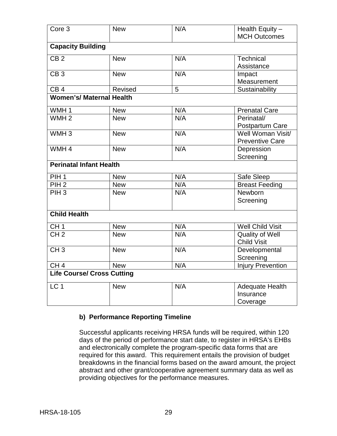| Core <sub>3</sub>                 | <b>New</b> | N/A | Health Equity -          |
|-----------------------------------|------------|-----|--------------------------|
|                                   |            |     | <b>MCH Outcomes</b>      |
| <b>Capacity Building</b>          |            |     |                          |
| CB <sub>2</sub>                   | <b>New</b> | N/A | Technical                |
|                                   |            |     | Assistance               |
| $\overline{CB3}$                  | <b>New</b> | N/A | Impact                   |
|                                   |            |     | Measurement              |
| CB <sub>4</sub>                   | Revised    | 5   | Sustainability           |
| <b>Women's/ Maternal Health</b>   |            |     |                          |
| WMH <sub>1</sub>                  | <b>New</b> | N/A | <b>Prenatal Care</b>     |
| WMH <sub>2</sub>                  | <b>New</b> | N/A | Perinatal/               |
|                                   |            |     | Postpartum Care          |
| WMH <sub>3</sub>                  | <b>New</b> | N/A | Well Woman Visit/        |
|                                   |            |     | <b>Preventive Care</b>   |
| WMH <sub>4</sub>                  | <b>New</b> | N/A | Depression               |
|                                   |            |     | Screening                |
| <b>Perinatal Infant Health</b>    |            |     |                          |
| PIH <sub>1</sub>                  | <b>New</b> | N/A | Safe Sleep               |
| PIH <sub>2</sub>                  | <b>New</b> | N/A | <b>Breast Feeding</b>    |
| PIH <sub>3</sub>                  | <b>New</b> | N/A | Newborn                  |
|                                   |            |     | Screening                |
| <b>Child Health</b>               |            |     |                          |
| CH <sub>1</sub>                   | <b>New</b> | N/A | <b>Well Child Visit</b>  |
| CH <sub>2</sub>                   | <b>New</b> | N/A | <b>Quality of Well</b>   |
|                                   |            |     | <b>Child Visit</b>       |
| CH <sub>3</sub>                   | <b>New</b> | N/A | Developmental            |
|                                   |            |     | Screening                |
| CH <sub>4</sub>                   | <b>New</b> | N/A | <b>Injury Prevention</b> |
| <b>Life Course/ Cross Cutting</b> |            |     |                          |
| LC <sub>1</sub>                   | <b>New</b> | N/A | <b>Adequate Health</b>   |
|                                   |            |     | Insurance                |
|                                   |            |     | Coverage                 |

# **b) Performance Reporting Timeline**

Successful applicants receiving HRSA funds will be required, within 120 days of the period of performance start date, to register in HRSA's EHBs and electronically complete the program-specific data forms that are required for this award.This requirement entails the provision of budget breakdowns in the financial forms based on the award amount, the project abstract and other grant/cooperative agreement summary data as well as providing objectives for the performance measures.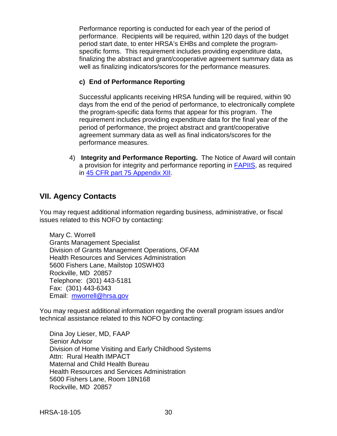Performance reporting is conducted for each year of the period of performance. Recipients will be required, within 120 days of the budget period start date, to enter HRSA's EHBs and complete the programspecific forms. This requirement includes providing expenditure data, finalizing the abstract and grant/cooperative agreement summary data as well as finalizing indicators/scores for the performance measures.

# **c) End of Performance Reporting**

Successful applicants receiving HRSA funding will be required, within 90 days from the end of the period of performance, to electronically complete the program-specific data forms that appear for this program. The requirement includes providing expenditure data for the final year of the period of performance, the project abstract and grant/cooperative agreement summary data as well as final indicators/scores for the performance measures.

4) **Integrity and Performance Reporting.** The Notice of Award will contain a provision for integrity and performance reporting in [FAPIIS,](https://www.fapiis.gov/) as required in [45 CFR part 75 Appendix XII.](https://www.ecfr.gov/cgi-bin/retrieveECFR?gp=1&SID=4d52364ec83fab994c665943dadf9cf7&ty=HTML&h=L&r=PART&n=pt45.1.75)

# <span id="page-33-0"></span>**VII. Agency Contacts**

You may request additional information regarding business, administrative, or fiscal issues related to this NOFO by contacting:

Mary C. Worrell Grants Management Specialist Division of Grants Management Operations, OFAM Health Resources and Services Administration 5600 Fishers Lane, Mailstop 10SWH03 Rockville, MD 20857 Telephone: (301) 443-5181 Fax: (301) 443-6343 Email: [mworrell@hrsa.gov](mailto:mworrell@hrsa.gov)

You may request additional information regarding the overall program issues and/or technical assistance related to this NOFO by contacting:

Dina Joy Lieser, MD, FAAP Senior Advisor Division of Home Visiting and Early Childhood Systems Attn: Rural Health IMPACT Maternal and Child Health Bureau Health Resources and Services Administration 5600 Fishers Lane, Room 18N168 Rockville, MD 20857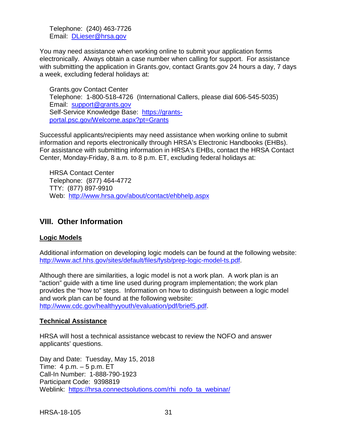Telephone: (240) 463-7726 Email: [DLieser@hrsa.gov](mailto:DLieser@hrsa.gov)

You may need assistance when working online to submit your application forms electronically. Always obtain a case number when calling for support. For assistance with submitting the application in Grants.gov, contact Grants.gov 24 hours a day, 7 days a week, excluding federal holidays at:

Grants.gov Contact Center Telephone: 1-800-518-4726 (International Callers, please dial 606-545-5035) Email: [support@grants.gov](mailto:support@grants.gov) Self-Service Knowledge Base: [https://grants](https://grants-portal.psc.gov/Welcome.aspx?pt=Grants)[portal.psc.gov/Welcome.aspx?pt=Grants](https://grants-portal.psc.gov/Welcome.aspx?pt=Grants)

Successful applicants/recipients may need assistance when working online to submit information and reports electronically through HRSA's Electronic Handbooks (EHBs). For assistance with submitting information in HRSA's EHBs, contact the HRSA Contact Center, Monday-Friday, 8 a.m. to 8 p.m. ET, excluding federal holidays at:

HRSA Contact Center Telephone: (877) 464-4772 TTY: (877) 897-9910 Web: <http://www.hrsa.gov/about/contact/ehbhelp.aspx>

# <span id="page-34-0"></span>**VIII. Other Information**

# **Logic Models**

Additional information on developing logic models can be found at the following website: [http://www.acf.hhs.gov/sites/default/files/fysb/prep-logic-model-ts.pdf.](http://www.acf.hhs.gov/sites/default/files/fysb/prep-logic-model-ts.pdf)

Although there are similarities, a logic model is not a work plan. A work plan is an "action" guide with a time line used during program implementation; the work plan provides the "how to" steps. Information on how to distinguish between a logic model and work plan can be found at the following website: [http://www.cdc.gov/healthyyouth/evaluation/pdf/brief5.pdf.](http://www.cdc.gov/healthyyouth/evaluation/pdf/brief5.pdf)

# **Technical Assistance**

HRSA will host a technical assistance webcast to review the NOFO and answer applicants' questions.

Day and Date: Tuesday, May 15, 2018 Time: 4 p.m. – 5 p.m. ET Call-In Number: 1-888-790-1923 Participant Code: 9398819 Weblink: [https://hrsa.connectsolutions.com/rhi\\_nofo\\_ta\\_webinar/](https://hrsa.connectsolutions.com/rhi_nofo_ta_webinar/)